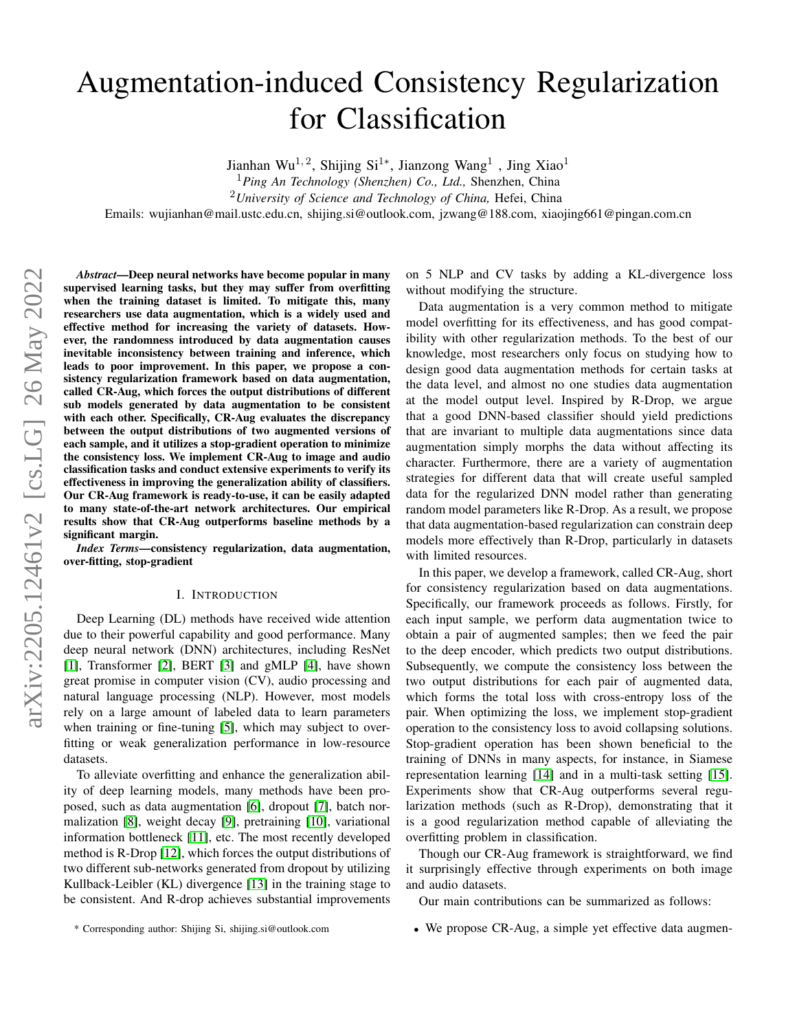# Augmentation-induced Consistency Regularization for Classification

Jianhan Wu<sup>1,2</sup>, Shijing Si<sup>1\*</sup>, Jianzong Wang<sup>1</sup>, Jing Xiao<sup>1</sup>

<sup>1</sup>*Ping An Technology (Shenzhen) Co., Ltd.,* Shenzhen, China

<sup>2</sup>*University of Science and Technology of China,* Hefei, China

Emails: wujianhan@mail.ustc.edu.cn, shijing.si@outlook.com, jzwang@188.com, xiaojing661@pingan.com.cn

*Abstract*—Deep neural networks have become popular in many supervised learning tasks, but they may suffer from overfitting when the training dataset is limited. To mitigate this, many researchers use data augmentation, which is a widely used and effective method for increasing the variety of datasets. However, the randomness introduced by data augmentation causes inevitable inconsistency between training and inference, which leads to poor improvement. In this paper, we propose a consistency regularization framework based on data augmentation, called CR-Aug, which forces the output distributions of different sub models generated by data augmentation to be consistent with each other. Specifically, CR-Aug evaluates the discrepancy between the output distributions of two augmented versions of each sample, and it utilizes a stop-gradient operation to minimize the consistency loss. We implement CR-Aug to image and audio classification tasks and conduct extensive experiments to verify its effectiveness in improving the generalization ability of classifiers. Our CR-Aug framework is ready-to-use, it can be easily adapted to many state-of-the-art network architectures. Our empirical results show that CR-Aug outperforms baseline methods by a significant margin.

*Index Terms*—consistency regularization, data augmentation, over-fitting, stop-gradient

## I. INTRODUCTION

Deep Learning (DL) methods have received wide attention due to their powerful capability and good performance. Many deep neural network (DNN) architectures, including ResNet [\[1\]](#page-5-0), Transformer [\[2\]](#page-5-1), BERT [\[3\]](#page-5-2) and gMLP [\[4\]](#page-5-3), have shown great promise in computer vision (CV), audio processing and natural language processing (NLP). However, most models rely on a large amount of labeled data to learn parameters when training or fine-tuning [\[5\]](#page-5-4), which may subject to overfitting or weak generalization performance in low-resource datasets.

To alleviate overfitting and enhance the generalization ability of deep learning models, many methods have been proposed, such as data augmentation [\[6\]](#page-5-5), dropout [\[7\]](#page-5-6), batch normalization [\[8\]](#page-5-7), weight decay [\[9\]](#page-5-8), pretraining [\[10\]](#page-5-9), variational information bottleneck [\[11\]](#page-5-10), etc. The most recently developed method is R-Drop [\[12\]](#page-5-11), which forces the output distributions of two different sub-networks generated from dropout by utilizing Kullback-Leibler (KL) divergence [\[13\]](#page-6-0) in the training stage to be consistent. And R-drop achieves substantial improvements on 5 NLP and CV tasks by adding a KL-divergence loss without modifying the structure.

Data augmentation is a very common method to mitigate model overfitting for its effectiveness, and has good compatibility with other regularization methods. To the best of our knowledge, most researchers only focus on studying how to design good data augmentation methods for certain tasks at the data level, and almost no one studies data augmentation at the model output level. Inspired by R-Drop, we argue that a good DNN-based classifier should yield predictions that are invariant to multiple data augmentations since data augmentation simply morphs the data without affecting its character. Furthermore, there are a variety of augmentation strategies for different data that will create useful sampled data for the regularized DNN model rather than generating random model parameters like R-Drop. As a result, we propose that data augmentation-based regularization can constrain deep models more effectively than R-Drop, particularly in datasets with limited resources.

In this paper, we develop a framework, called CR-Aug, short for consistency regularization based on data augmentations. Specifically, our framework proceeds as follows. Firstly, for each input sample, we perform data augmentation twice to obtain a pair of augmented samples; then we feed the pair to the deep encoder, which predicts two output distributions. Subsequently, we compute the consistency loss between the two output distributions for each pair of augmented data, which forms the total loss with cross-entropy loss of the pair. When optimizing the loss, we implement stop-gradient operation to the consistency loss to avoid collapsing solutions. Stop-gradient operation has been shown beneficial to the training of DNNs in many aspects, for instance, in Siamese representation learning [\[14\]](#page-6-1) and in a multi-task setting [\[15\]](#page-6-2). Experiments show that CR-Aug outperforms several regularization methods (such as R-Drop), demonstrating that it is a good regularization method capable of alleviating the overfitting problem in classification.

Though our CR-Aug framework is straightforward, we find it surprisingly effective through experiments on both image and audio datasets.

Our main contributions can be summarized as follows:

- \* Corresponding author: Shijing Si, shijing.si@outlook.com
- We propose CR-Aug, a simple yet effective data augmen-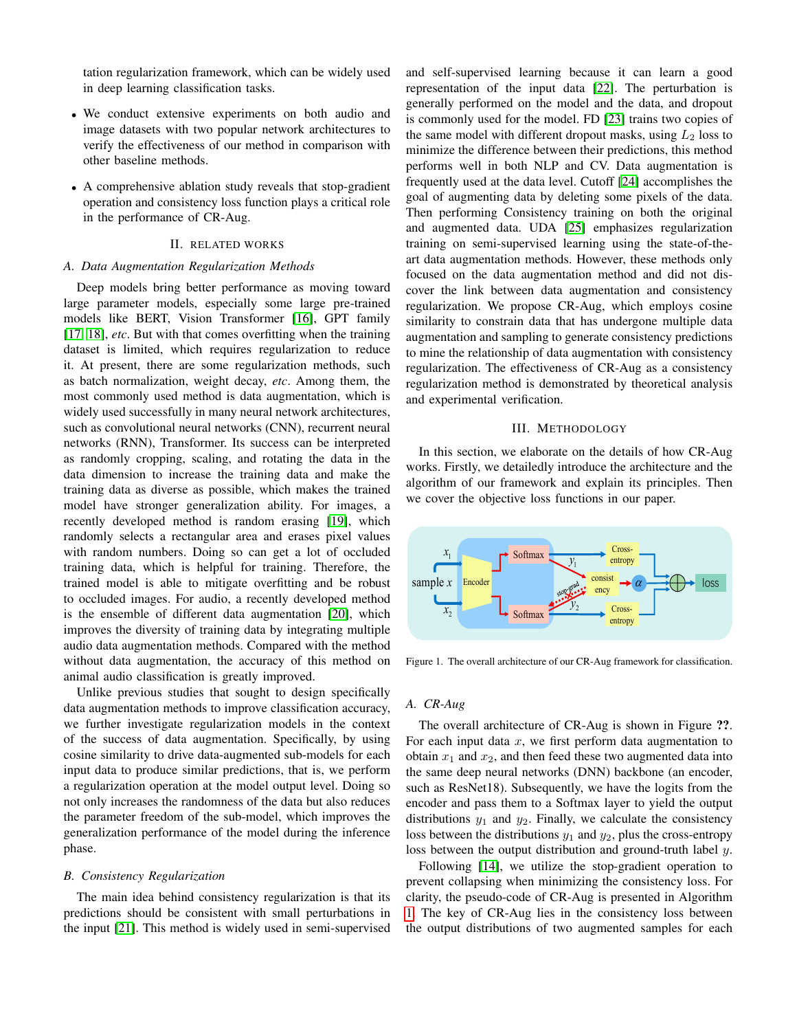tation regularization framework, which can be widely used in deep learning classification tasks.

- We conduct extensive experiments on both audio and image datasets with two popular network architectures to verify the effectiveness of our method in comparison with other baseline methods.
- A comprehensive ablation study reveals that stop-gradient operation and consistency loss function plays a critical role in the performance of CR-Aug.

## II. RELATED WORKS

#### *A. Data Augmentation Regularization Methods*

Deep models bring better performance as moving toward large parameter models, especially some large pre-trained models like BERT, Vision Transformer [\[16\]](#page-6-3), GPT family [\[17,](#page-6-4) [18\]](#page-6-5), *etc*. But with that comes overfitting when the training dataset is limited, which requires regularization to reduce it. At present, there are some regularization methods, such as batch normalization, weight decay, *etc*. Among them, the most commonly used method is data augmentation, which is widely used successfully in many neural network architectures, such as convolutional neural networks (CNN), recurrent neural networks (RNN), Transformer. Its success can be interpreted as randomly cropping, scaling, and rotating the data in the data dimension to increase the training data and make the training data as diverse as possible, which makes the trained model have stronger generalization ability. For images, a recently developed method is random erasing [\[19\]](#page-6-6), which randomly selects a rectangular area and erases pixel values with random numbers. Doing so can get a lot of occluded training data, which is helpful for training. Therefore, the trained model is able to mitigate overfitting and be robust to occluded images. For audio, a recently developed method is the ensemble of different data augmentation [\[20\]](#page-6-7), which improves the diversity of training data by integrating multiple audio data augmentation methods. Compared with the method without data augmentation, the accuracy of this method on animal audio classification is greatly improved.

Unlike previous studies that sought to design specifically data augmentation methods to improve classification accuracy, we further investigate regularization models in the context of the success of data augmentation. Specifically, by using cosine similarity to drive data-augmented sub-models for each input data to produce similar predictions, that is, we perform a regularization operation at the model output level. Doing so not only increases the randomness of the data but also reduces the parameter freedom of the sub-model, which improves the generalization performance of the model during the inference phase.

#### *B. Consistency Regularization*

The main idea behind consistency regularization is that its predictions should be consistent with small perturbations in the input [\[21\]](#page-6-8). This method is widely used in semi-supervised and self-supervised learning because it can learn a good representation of the input data [\[22\]](#page-6-9). The perturbation is generally performed on the model and the data, and dropout is commonly used for the model. FD [\[23\]](#page-6-10) trains two copies of the same model with different dropout masks, using  $L_2$  loss to minimize the difference between their predictions, this method performs well in both NLP and CV. Data augmentation is frequently used at the data level. Cutoff [\[24\]](#page-6-11) accomplishes the goal of augmenting data by deleting some pixels of the data. Then performing Consistency training on both the original and augmented data. UDA [\[25\]](#page-6-12) emphasizes regularization training on semi-supervised learning using the state-of-theart data augmentation methods. However, these methods only focused on the data augmentation method and did not discover the link between data augmentation and consistency regularization. We propose CR-Aug, which employs cosine similarity to constrain data that has undergone multiple data augmentation and sampling to generate consistency predictions to mine the relationship of data augmentation with consistency regularization. The effectiveness of CR-Aug as a consistency regularization method is demonstrated by theoretical analysis and experimental verification.

## III. METHODOLOGY

In this section, we elaborate on the details of how CR-Aug works. Firstly, we detailedly introduce the architecture and the algorithm of our framework and explain its principles. Then we cover the objective loss functions in our paper.



Figure 1. The overall architecture of our CR-Aug framework for classification.

## <span id="page-1-0"></span>*A. CR-Aug*

The overall architecture of CR-Aug is shown in Figure ??. For each input data  $x$ , we first perform data augmentation to obtain  $x_1$  and  $x_2$ , and then feed these two augmented data into the same deep neural networks (DNN) backbone (an encoder, such as ResNet18). Subsequently, we have the logits from the encoder and pass them to a Softmax layer to yield the output distributions  $y_1$  and  $y_2$ . Finally, we calculate the consistency loss between the distributions  $y_1$  and  $y_2$ , plus the cross-entropy loss between the output distribution and ground-truth label y.

Following [\[14\]](#page-6-1), we utilize the stop-gradient operation to prevent collapsing when minimizing the consistency loss. For clarity, the pseudo-code of CR-Aug is presented in Algorithm [1.](#page-2-0) The key of CR-Aug lies in the consistency loss between the output distributions of two augmented samples for each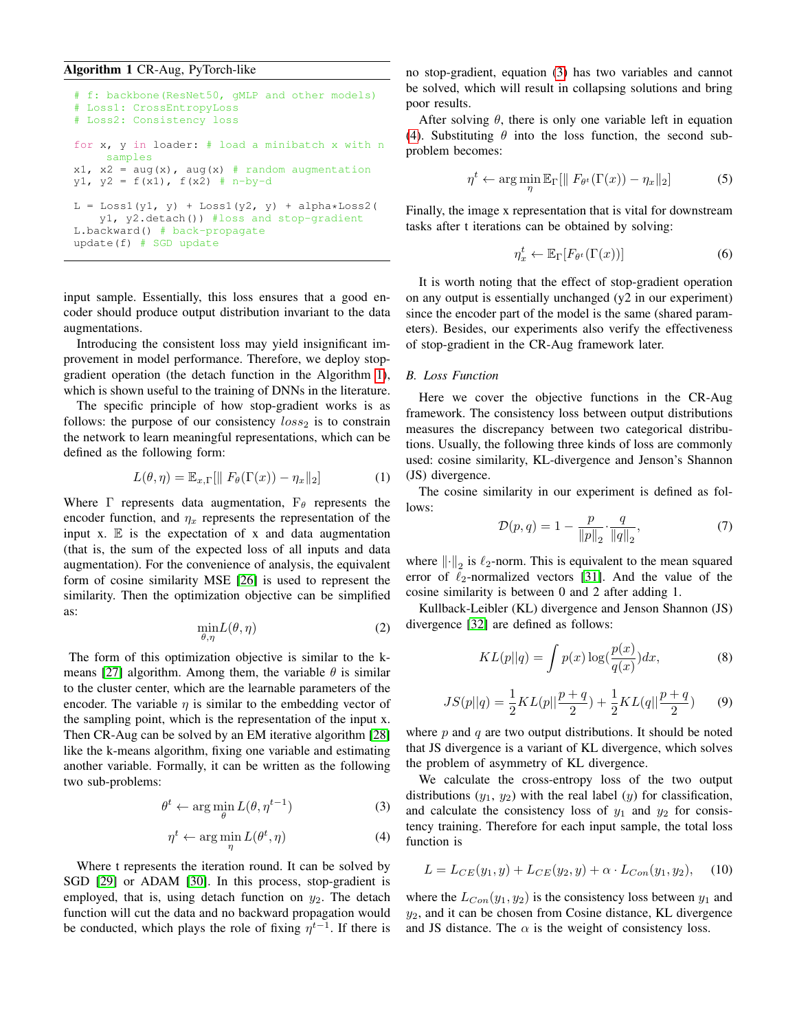## <span id="page-2-0"></span>Algorithm 1 CR-Aug, PyTorch-like

```
# f: backbone(ResNet50, gMLP and other models)
# Loss1: CrossEntropyLoss
# Loss2: Consistency loss
for x, y in loader: # load a minibatch x with n
     samples
x1, x^2 = aug(x), aug(x) # random augmentation
y1, y2 = f(x1), f(x2) = n-by-dL = Loss1(y1, y) + Loss1(y2, y) + alpha*Loss2(y1, y2.detach()) #loss and stop-gradient
L.backward() # back-propagate
update(f) # SGD update
```
input sample. Essentially, this loss ensures that a good encoder should produce output distribution invariant to the data augmentations.

Introducing the consistent loss may yield insignificant improvement in model performance. Therefore, we deploy stopgradient operation (the detach function in the Algorithm [1\)](#page-2-0), which is shown useful to the training of DNNs in the literature.

The specific principle of how stop-gradient works is as follows: the purpose of our consistency  $loss_2$  is to constrain the network to learn meaningful representations, which can be defined as the following form:

$$
L(\theta, \eta) = \mathbb{E}_{x, \Gamma}[\| F_{\theta}(\Gamma(x)) - \eta_x \|_2]
$$
 (1)

Where  $\Gamma$  represents data augmentation,  $F_{\theta}$  represents the encoder function, and  $\eta_x$  represents the representation of the input  $x$ .  $E$  is the expectation of  $x$  and data augmentation (that is, the sum of the expected loss of all inputs and data augmentation). For the convenience of analysis, the equivalent form of cosine similarity MSE [\[26\]](#page-6-13) is used to represent the similarity. Then the optimization objective can be simplified as:

$$
\min_{\theta,\eta} L(\theta,\eta) \tag{2}
$$

The form of this optimization objective is similar to the k-means [\[27\]](#page-6-14) algorithm. Among them, the variable  $\theta$  is similar to the cluster center, which are the learnable parameters of the encoder. The variable  $\eta$  is similar to the embedding vector of the sampling point, which is the representation of the input x. Then CR-Aug can be solved by an EM iterative algorithm [\[28\]](#page-6-15) like the k-means algorithm, fixing one variable and estimating another variable. Formally, it can be written as the following two sub-problems:

<span id="page-2-1"></span>
$$
\theta^t \leftarrow \arg\min_{\theta} L(\theta, \eta^{t-1})
$$
 (3)

<span id="page-2-2"></span>
$$
\eta^t \leftarrow \arg\min_{\eta} L(\theta^t, \eta) \tag{4}
$$

Where t represents the iteration round. It can be solved by SGD [\[29\]](#page-6-16) or ADAM [\[30\]](#page-6-17). In this process, stop-gradient is employed, that is, using detach function on  $y_2$ . The detach function will cut the data and no backward propagation would be conducted, which plays the role of fixing  $\eta^{t-1}$ . If there is no stop-gradient, equation [\(3\)](#page-2-1) has two variables and cannot be solved, which will result in collapsing solutions and bring poor results.

After solving  $\theta$ , there is only one variable left in equation [\(4\)](#page-2-2). Substituting  $\theta$  into the loss function, the second subproblem becomes:

$$
\eta^t \leftarrow \arg\min_{\eta} \mathbb{E}_{\Gamma}[\| F_{\theta^t}(\Gamma(x)) - \eta_x \|_2] \tag{5}
$$

Finally, the image x representation that is vital for downstream tasks after t iterations can be obtained by solving:

$$
\eta_x^t \leftarrow \mathbb{E}_{\Gamma}[F_{\theta^t}(\Gamma(x))]
$$
 (6)

It is worth noting that the effect of stop-gradient operation on any output is essentially unchanged (y2 in our experiment) since the encoder part of the model is the same (shared parameters). Besides, our experiments also verify the effectiveness of stop-gradient in the CR-Aug framework later.

## *B. Loss Function*

Here we cover the objective functions in the CR-Aug framework. The consistency loss between output distributions measures the discrepancy between two categorical distributions. Usually, the following three kinds of loss are commonly used: cosine similarity, KL-divergence and Jenson's Shannon (JS) divergence.

The cosine similarity in our experiment is defined as follows:

$$
\mathcal{D}(p,q) = 1 - \frac{p}{\|p\|_2} \cdot \frac{q}{\|q\|_2},\tag{7}
$$

where  $\left\| \cdot \right\|_2$  is  $\ell_2$ -norm. This is equivalent to the mean squared error of  $\ell_2$ -normalized vectors [\[31\]](#page-6-18). And the value of the cosine similarity is between 0 and 2 after adding 1.

Kullback-Leibler (KL) divergence and Jenson Shannon (JS) divergence [\[32\]](#page-6-19) are defined as follows:

$$
KL(p||q) = \int p(x) \log(\frac{p(x)}{q(x)}) dx,
$$
 (8)

$$
JS(p||q) = \frac{1}{2}KL(p||\frac{p+q}{2}) + \frac{1}{2}KL(q||\frac{p+q}{2})
$$
 (9)

where  $p$  and  $q$  are two output distributions. It should be noted that JS divergence is a variant of KL divergence, which solves the problem of asymmetry of KL divergence.

We calculate the cross-entropy loss of the two output distributions  $(y_1, y_2)$  with the real label  $(y)$  for classification, and calculate the consistency loss of  $y_1$  and  $y_2$  for consistency training. Therefore for each input sample, the total loss function is

$$
L = L_{CE}(y_1, y) + L_{CE}(y_2, y) + \alpha \cdot L_{Con}(y_1, y_2), \quad (10)
$$

where the  $L_{Con}(y_1, y_2)$  is the consistency loss between  $y_1$  and  $y_2$ , and it can be chosen from Cosine distance, KL divergence and JS distance. The  $\alpha$  is the weight of consistency loss.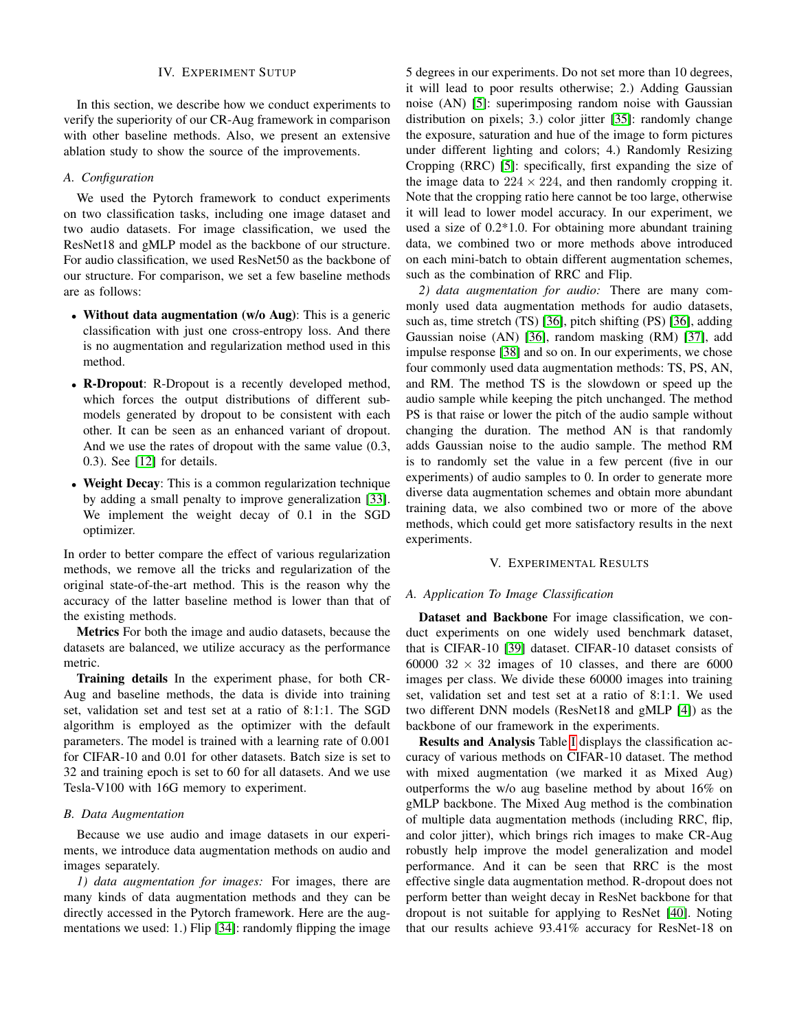## IV. EXPERIMENT SUTUP

In this section, we describe how we conduct experiments to verify the superiority of our CR-Aug framework in comparison with other baseline methods. Also, we present an extensive ablation study to show the source of the improvements.

## *A. Configuration*

We used the Pytorch framework to conduct experiments on two classification tasks, including one image dataset and two audio datasets. For image classification, we used the ResNet18 and gMLP model as the backbone of our structure. For audio classification, we used ResNet50 as the backbone of our structure. For comparison, we set a few baseline methods are as follows:

- Without data augmentation (w/o Aug): This is a generic classification with just one cross-entropy loss. And there is no augmentation and regularization method used in this method.
- R-Dropout: R-Dropout is a recently developed method, which forces the output distributions of different submodels generated by dropout to be consistent with each other. It can be seen as an enhanced variant of dropout. And we use the rates of dropout with the same value (0.3, 0.3). See [\[12\]](#page-5-11) for details.
- Weight Decay: This is a common regularization technique by adding a small penalty to improve generalization [\[33\]](#page-6-20). We implement the weight decay of 0.1 in the SGD optimizer.

In order to better compare the effect of various regularization methods, we remove all the tricks and regularization of the original state-of-the-art method. This is the reason why the accuracy of the latter baseline method is lower than that of the existing methods.

Metrics For both the image and audio datasets, because the datasets are balanced, we utilize accuracy as the performance metric.

Training details In the experiment phase, for both CR-Aug and baseline methods, the data is divide into training set, validation set and test set at a ratio of 8:1:1. The SGD algorithm is employed as the optimizer with the default parameters. The model is trained with a learning rate of 0.001 for CIFAR-10 and 0.01 for other datasets. Batch size is set to 32 and training epoch is set to 60 for all datasets. And we use Tesla-V100 with 16G memory to experiment.

## *B. Data Augmentation*

Because we use audio and image datasets in our experiments, we introduce data augmentation methods on audio and images separately.

*1) data augmentation for images:* For images, there are many kinds of data augmentation methods and they can be directly accessed in the Pytorch framework. Here are the augmentations we used: 1.) Flip [\[34\]](#page-6-21): randomly flipping the image

5 degrees in our experiments. Do not set more than 10 degrees, it will lead to poor results otherwise; 2.) Adding Gaussian noise (AN) [\[5\]](#page-5-4): superimposing random noise with Gaussian distribution on pixels; 3.) color jitter [\[35\]](#page-6-22): randomly change the exposure, saturation and hue of the image to form pictures under different lighting and colors; 4.) Randomly Resizing Cropping (RRC) [\[5\]](#page-5-4): specifically, first expanding the size of the image data to  $224 \times 224$ , and then randomly cropping it. Note that the cropping ratio here cannot be too large, otherwise it will lead to lower model accuracy. In our experiment, we used a size of 0.2\*1.0. For obtaining more abundant training data, we combined two or more methods above introduced on each mini-batch to obtain different augmentation schemes, such as the combination of RRC and Flip.

*2) data augmentation for audio:* There are many commonly used data augmentation methods for audio datasets, such as, time stretch (TS) [\[36\]](#page-6-23), pitch shifting (PS) [\[36\]](#page-6-23), adding Gaussian noise (AN) [\[36\]](#page-6-23), random masking (RM) [\[37\]](#page-6-24), add impulse response [\[38\]](#page-6-25) and so on. In our experiments, we chose four commonly used data augmentation methods: TS, PS, AN, and RM. The method TS is the slowdown or speed up the audio sample while keeping the pitch unchanged. The method PS is that raise or lower the pitch of the audio sample without changing the duration. The method AN is that randomly adds Gaussian noise to the audio sample. The method RM is to randomly set the value in a few percent (five in our experiments) of audio samples to 0. In order to generate more diverse data augmentation schemes and obtain more abundant training data, we also combined two or more of the above methods, which could get more satisfactory results in the next experiments.

#### V. EXPERIMENTAL RESULTS

## *A. Application To Image Classification*

Dataset and Backbone For image classification, we conduct experiments on one widely used benchmark dataset, that is CIFAR-10 [\[39\]](#page-6-26) dataset. CIFAR-10 dataset consists of 60000  $32 \times 32$  images of 10 classes, and there are 6000 images per class. We divide these 60000 images into training set, validation set and test set at a ratio of 8:1:1. We used two different DNN models (ResNet18 and gMLP [\[4\]](#page-5-3)) as the backbone of our framework in the experiments.

Results and Analysis Table [I](#page-4-0) displays the classification accuracy of various methods on CIFAR-10 dataset. The method with mixed augmentation (we marked it as Mixed Aug) outperforms the w/o aug baseline method by about 16% on gMLP backbone. The Mixed Aug method is the combination of multiple data augmentation methods (including RRC, flip, and color jitter), which brings rich images to make CR-Aug robustly help improve the model generalization and model performance. And it can be seen that RRC is the most effective single data augmentation method. R-dropout does not perform better than weight decay in ResNet backbone for that dropout is not suitable for applying to ResNet [\[40\]](#page-6-27). Noting that our results achieve 93.41% accuracy for ResNet-18 on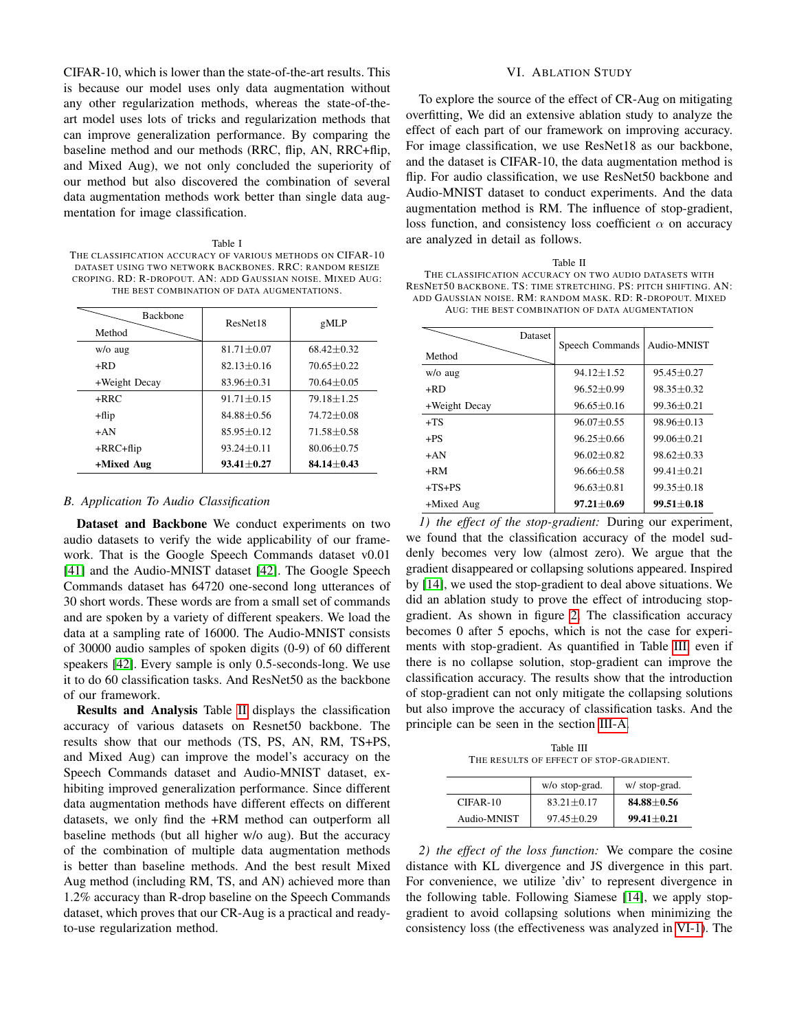CIFAR-10, which is lower than the state-of-the-art results. This is because our model uses only data augmentation without any other regularization methods, whereas the state-of-theart model uses lots of tricks and regularization methods that can improve generalization performance. By comparing the baseline method and our methods (RRC, flip, AN, RRC+flip, and Mixed Aug), we not only concluded the superiority of our method but also discovered the combination of several data augmentation methods work better than single data augmentation for image classification.

<span id="page-4-0"></span>Table I THE CLASSIFICATION ACCURACY OF VARIOUS METHODS ON CIFAR-10 DATASET USING TWO NETWORK BACKBONES. RRC: RANDOM RESIZE CROPING. RD: R-DROPOUT. AN: ADD GAUSSIAN NOISE. MIXED AUG: THE BEST COMBINATION OF DATA AUGMENTATIONS.

| <b>Backbone</b><br>Method | ResNet18         | gMLP           |
|---------------------------|------------------|----------------|
| $w/o$ aug                 | $81.71 + 0.07$   | $68.42 + 0.32$ |
| +RD                       | $82.13 + 0.16$   | $70.65 + 0.22$ |
| +Weight Decay             | $83.96 + 0.31$   | $70.64 + 0.05$ |
| $+RRC$                    | $91.71 \pm 0.15$ | $79.18 + 1.25$ |
| $+flip$                   | $84.88 + 0.56$   | $74.72 + 0.08$ |
| $+AN$                     | $85.95 + 0.12$   | $71.58 + 0.58$ |
| $+$ RRC $+$ flip          | $93.24 + 0.11$   | $80.06 + 0.75$ |
| +Mixed Aug                | $93.41 + 0.27$   | $84.14 + 0.43$ |

## *B. Application To Audio Classification*

Dataset and Backbone We conduct experiments on two audio datasets to verify the wide applicability of our framework. That is the Google Speech Commands dataset v0.01 [\[41\]](#page-6-28) and the Audio-MNIST dataset [\[42\]](#page-6-29). The Google Speech Commands dataset has 64720 one-second long utterances of 30 short words. These words are from a small set of commands and are spoken by a variety of different speakers. We load the data at a sampling rate of 16000. The Audio-MNIST consists of 30000 audio samples of spoken digits (0-9) of 60 different speakers [\[42\]](#page-6-29). Every sample is only 0.5-seconds-long. We use it to do 60 classification tasks. And ResNet50 as the backbone of our framework.

Results and Analysis Table [II](#page-4-1) displays the classification accuracy of various datasets on Resnet50 backbone. The results show that our methods (TS, PS, AN, RM, TS+PS, and Mixed Aug) can improve the model's accuracy on the Speech Commands dataset and Audio-MNIST dataset, exhibiting improved generalization performance. Since different data augmentation methods have different effects on different datasets, we only find the +RM method can outperform all baseline methods (but all higher w/o aug). But the accuracy of the combination of multiple data augmentation methods is better than baseline methods. And the best result Mixed Aug method (including RM, TS, and AN) achieved more than 1.2% accuracy than R-drop baseline on the Speech Commands dataset, which proves that our CR-Aug is a practical and readyto-use regularization method.

## VI. ABLATION STUDY

To explore the source of the effect of CR-Aug on mitigating overfitting, We did an extensive ablation study to analyze the effect of each part of our framework on improving accuracy. For image classification, we use ResNet18 as our backbone, and the dataset is CIFAR-10, the data augmentation method is flip. For audio classification, we use ResNet50 backbone and Audio-MNIST dataset to conduct experiments. And the data augmentation method is RM. The influence of stop-gradient, loss function, and consistency loss coefficient  $\alpha$  on accuracy are analyzed in detail as follows.

<span id="page-4-1"></span>

| Table II                                                        |
|-----------------------------------------------------------------|
| THE CLASSIFICATION ACCURACY ON TWO AUDIO DATASETS WITH          |
| RESNET50 BACKBONE. TS: TIME STRETCHING. PS: PITCH SHIFTING. AN: |
| ADD GAUSSIAN NOISE, RM: RANDOM MASK, RD: R-DROPOUT, MIXED       |
| AUG: THE BEST COMBINATION OF DATA AUGMENTATION                  |

| Method        | Dataset | Speech Commands  | Audio-MNIST      |
|---------------|---------|------------------|------------------|
| $w/o$ aug     |         | $94.12 + 1.52$   | $95.45 + 0.27$   |
| +RD           |         | $96.52 + 0.99$   | $98.35 + 0.32$   |
| +Weight Decay |         | $96.65 + 0.16$   | $99.36 + 0.21$   |
| $+TS$         |         | $96.07 + 0.55$   | $98.96 + 0.13$   |
| $+ PS$        |         | $96.25 + 0.66$   | $99.06 + 0.21$   |
| $+AN$         |         | $96.02 + 0.82$   | $98.62 + 0.33$   |
| +RM           |         | $96.66 + 0.58$   | $99.41 + 0.21$   |
| $+TS+PS$      |         | $96.63 + 0.81$   | $99.35 + 0.18$   |
| +Mixed Aug    |         | $97.21 \pm 0.69$ | $99.51 \pm 0.18$ |

<span id="page-4-3"></span>*1) the effect of the stop-gradient:* During our experiment, we found that the classification accuracy of the model suddenly becomes very low (almost zero). We argue that the gradient disappeared or collapsing solutions appeared. Inspired by [\[14\]](#page-6-1), we used the stop-gradient to deal above situations. We did an ablation study to prove the effect of introducing stopgradient. As shown in figure [2,](#page-5-12) The classification accuracy becomes 0 after 5 epochs, which is not the case for experiments with stop-gradient. As quantified in Table [III,](#page-4-2) even if there is no collapse solution, stop-gradient can improve the classification accuracy. The results show that the introduction of stop-gradient can not only mitigate the collapsing solutions but also improve the accuracy of classification tasks. And the principle can be seen in the section [III-A.](#page-1-0)

Table III THE RESULTS OF EFFECT OF STOP-GRADIENT.

<span id="page-4-2"></span>

|             | w/o stop-grad. | w/ stop-grad.  |
|-------------|----------------|----------------|
| $CIFAR-10$  | $83.21 + 0.17$ | $84.88 + 0.56$ |
| Audio-MNIST | $97.45 + 0.29$ | $99.41 + 0.21$ |

*2) the effect of the loss function:* We compare the cosine distance with KL divergence and JS divergence in this part. For convenience, we utilize 'div' to represent divergence in the following table. Following Siamese [\[14\]](#page-6-1), we apply stopgradient to avoid collapsing solutions when minimizing the consistency loss (the effectiveness was analyzed in [VI-1\)](#page-4-3). The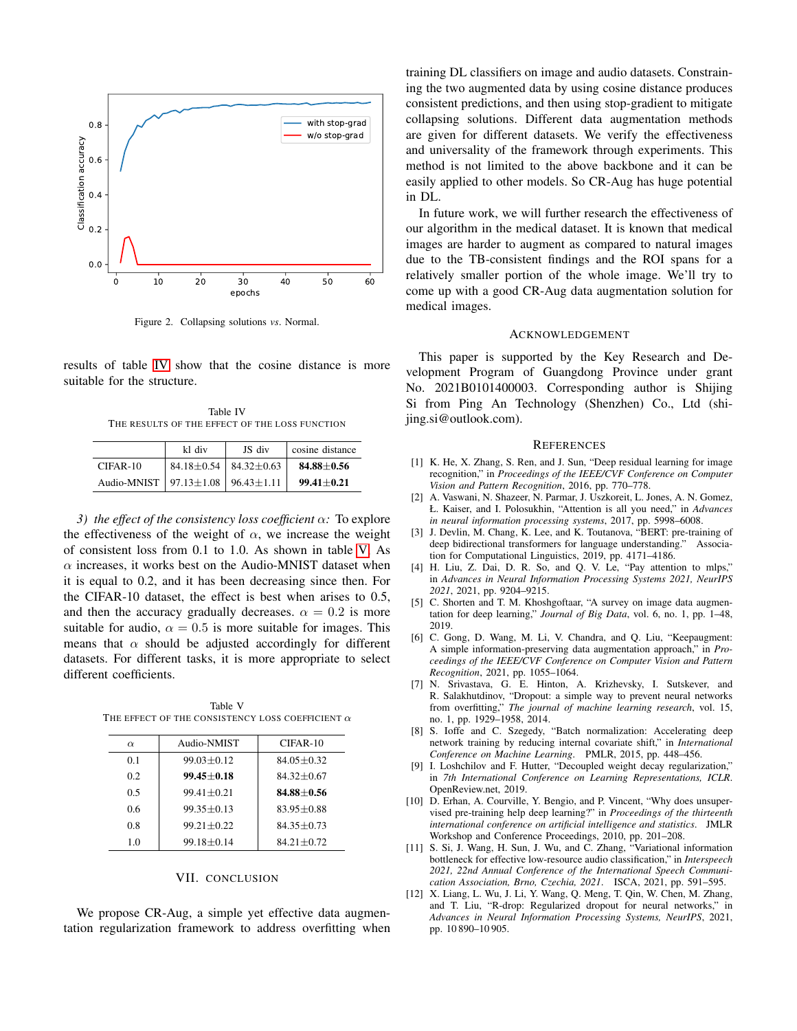

<span id="page-5-12"></span>Figure 2. Collapsing solutions *vs*. Normal.

results of table [IV](#page-5-13) show that the cosine distance is more suitable for the structure.

Table IV THE RESULTS OF THE EFFECT OF THE LOSS FUNCTION

<span id="page-5-13"></span>

|                                                   | kl div                              | JS div | cosine distance  |
|---------------------------------------------------|-------------------------------------|--------|------------------|
| $CIFAR-10$                                        | $84.18 \pm 0.54$   $84.32 \pm 0.63$ |        | $84.88 \pm 0.56$ |
| Audio-MNIST   $97.13 \pm 1.08$   $96.43 \pm 1.11$ |                                     |        | $99.41 + 0.21$   |

*3) the effect of the consistency loss coefficient* α*:* To explore the effectiveness of the weight of  $\alpha$ , we increase the weight of consistent loss from 0.1 to 1.0. As shown in table [V,](#page-5-14) As  $\alpha$  increases, it works best on the Audio-MNIST dataset when it is equal to 0.2, and it has been decreasing since then. For the CIFAR-10 dataset, the effect is best when arises to 0.5, and then the accuracy gradually decreases.  $\alpha = 0.2$  is more suitable for audio,  $\alpha = 0.5$  is more suitable for images. This means that  $\alpha$  should be adjusted accordingly for different datasets. For different tasks, it is more appropriate to select different coefficients.

<span id="page-5-14"></span>Table V THE EFFECT OF THE CONSISTENCY LOSS COEFFICIENT  $\alpha$ 

| $\alpha$ | Audio-NMIST    | $CIFAR-10$     |
|----------|----------------|----------------|
| 0.1      | $99.03 + 0.12$ | $84.05 + 0.32$ |
| 0.2      | $99.45 + 0.18$ | $84.32 + 0.67$ |
| 0.5      | $99.41 + 0.21$ | $84.88 + 0.56$ |
| 06       | $99.35 + 0.13$ | $83.95 + 0.88$ |
| 0.8      | $99.21 + 0.22$ | $84.35 + 0.73$ |
| 1.0      | $99.18 + 0.14$ | $84.21 + 0.72$ |

#### VII. CONCLUSION

We propose CR-Aug, a simple yet effective data augmentation regularization framework to address overfitting when training DL classifiers on image and audio datasets. Constraining the two augmented data by using cosine distance produces consistent predictions, and then using stop-gradient to mitigate collapsing solutions. Different data augmentation methods are given for different datasets. We verify the effectiveness and universality of the framework through experiments. This method is not limited to the above backbone and it can be easily applied to other models. So CR-Aug has huge potential in DL.

In future work, we will further research the effectiveness of our algorithm in the medical dataset. It is known that medical images are harder to augment as compared to natural images due to the TB-consistent findings and the ROI spans for a relatively smaller portion of the whole image. We'll try to come up with a good CR-Aug data augmentation solution for medical images.

### ACKNOWLEDGEMENT

This paper is supported by the Key Research and Development Program of Guangdong Province under grant No. 2021B0101400003. Corresponding author is Shijing Si from Ping An Technology (Shenzhen) Co., Ltd (shijing.si@outlook.com).

## **REFERENCES**

- <span id="page-5-0"></span>[1] K. He, X. Zhang, S. Ren, and J. Sun, "Deep residual learning for image recognition," in *Proceedings of the IEEE/CVF Conference on Computer Vision and Pattern Recognition*, 2016, pp. 770–778.
- <span id="page-5-1"></span>[2] A. Vaswani, N. Shazeer, N. Parmar, J. Uszkoreit, L. Jones, A. N. Gomez, Ł. Kaiser, and I. Polosukhin, "Attention is all you need," in *Advances in neural information processing systems*, 2017, pp. 5998–6008.
- <span id="page-5-2"></span>[3] J. Devlin, M. Chang, K. Lee, and K. Toutanova, "BERT: pre-training of deep bidirectional transformers for language understanding." Association for Computational Linguistics, 2019, pp. 4171–4186.
- <span id="page-5-3"></span>[4] H. Liu, Z. Dai, D. R. So, and Q. V. Le, "Pay attention to mlps," in *Advances in Neural Information Processing Systems 2021, NeurIPS 2021*, 2021, pp. 9204–9215.
- <span id="page-5-4"></span>[5] C. Shorten and T. M. Khoshgoftaar, "A survey on image data augmentation for deep learning," *Journal of Big Data*, vol. 6, no. 1, pp. 1–48, 2019.
- <span id="page-5-5"></span>[6] C. Gong, D. Wang, M. Li, V. Chandra, and Q. Liu, "Keepaugment: A simple information-preserving data augmentation approach," in *Proceedings of the IEEE/CVF Conference on Computer Vision and Pattern Recognition*, 2021, pp. 1055–1064.
- <span id="page-5-6"></span>[7] N. Srivastava, G. E. Hinton, A. Krizhevsky, I. Sutskever, and R. Salakhutdinov, "Dropout: a simple way to prevent neural networks from overfitting," *The journal of machine learning research*, vol. 15, no. 1, pp. 1929–1958, 2014.
- <span id="page-5-7"></span>[8] S. Ioffe and C. Szegedy, "Batch normalization: Accelerating deep network training by reducing internal covariate shift," in *International Conference on Machine Learning*. PMLR, 2015, pp. 448–456.
- <span id="page-5-8"></span>[9] I. Loshchilov and F. Hutter, "Decoupled weight decay regularization," in *7th International Conference on Learning Representations, ICLR*. OpenReview.net, 2019.
- <span id="page-5-9"></span>[10] D. Erhan, A. Courville, Y. Bengio, and P. Vincent, "Why does unsupervised pre-training help deep learning?" in *Proceedings of the thirteenth international conference on artificial intelligence and statistics*. JMLR Workshop and Conference Proceedings, 2010, pp. 201–208.
- <span id="page-5-10"></span>[11] S. Si, J. Wang, H. Sun, J. Wu, and C. Zhang, "Variational information bottleneck for effective low-resource audio classification," in *Interspeech 2021, 22nd Annual Conference of the International Speech Communication Association, Brno, Czechia, 2021*. ISCA, 2021, pp. 591–595.
- <span id="page-5-11"></span>[12] X. Liang, L. Wu, J. Li, Y. Wang, O. Meng, T. Qin, W. Chen, M. Zhang, and T. Liu, "R-drop: Regularized dropout for neural networks," in *Advances in Neural Information Processing Systems, NeurIPS*, 2021, pp. 10 890–10 905.